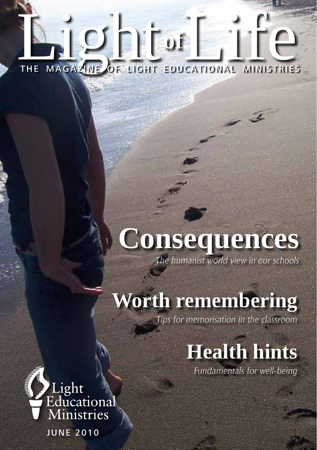# **of** THE MAGAZINE OF LIGHT THE MAGAZINE OF LIGHT EDUCATIONAL MINISTRIES

# **Consequences**

*The humanist world view in our schools*

# **Worth remembering**

*Tips for memorisation in the classroom*

# **Health hints**

*Fundamentals for well-being*



June 2010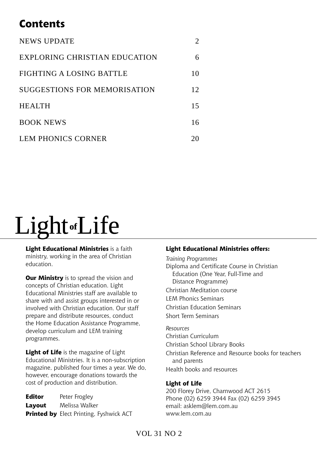# **Contents**

| <b>NEWS UPDATE</b>                   |    |
|--------------------------------------|----|
| <b>EXPLORING CHRISTIAN EDUCATION</b> | 6  |
| FIGHTING A LOSING BATTLE             | 10 |
| SUGGESTIONS FOR MEMORISATION         | 12 |
| <b>HEALTH</b>                        | 15 |
| <b>BOOK NEWS</b>                     | 16 |
| LEM PHONICS CORNER                   | 20 |

# Light**of**Life

**Light Educational Ministries** is a faith ministry, working in the area of Christian education.

**Our Ministry** is to spread the vision and concepts of Christian education. Light Educational Ministries staff are available to share with and assist groups interested in or involved with Christian education. Our staff prepare and distribute resources, conduct the Home Education Assistance Programme, develop curriculum and LEM training programmes.

**Light of Life** is the magazine of Light Educational Ministries. It is a non-subscription magazine, published four times a year. We do, however, encourage donations towards the cost of production and distribution.

| Editor | Peter Frogley                                  |
|--------|------------------------------------------------|
| Layout | Melissa Walker                                 |
|        | <b>Printed by</b> Elect Printing, Fyshwick ACT |

#### **Light Educational Ministries offers:**

*Training Programmes* Diploma and Certificate Course in Christian Education (One Year, Full-Time and Distance Programme) Christian Meditation course LEM Phonics Seminars Christian Education Seminars Short Term Seminars *Resources* Christian Curriculum

Christian School Library Books

Christian Reference and Resource books for teachers and parents

Health books and resources

#### **Light of Life**

200 Florey Drive, Charnwood ACT 2615 Phone (02) 6259 3944 Fax (02) 6259 3945 email: asklem@lem.com.au www.lem.com.au

### Vol 31 No 2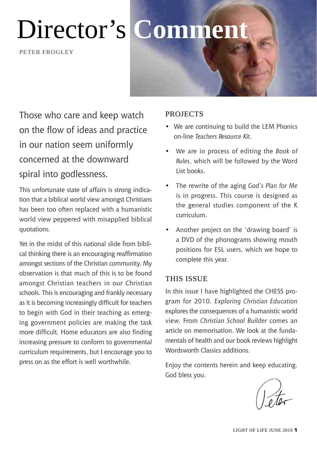**Peter frogley**



Those who care and keep watch on the flow of ideas and practice in our nation seem uniformly concerned at the downward spiral into godlessness.

This unfortunate state of affairs is strong indication that a biblical world view amongst Christians has been too often replaced with a humanistic world view peppered with misapplied biblical quotations.

Yet in the midst of this national slide from biblical thinking there is an encouraging reaffirmation amongst sections of the Christian community. My observation is that much of this is to be found amongst Christian teachers in our Christian schools. This is encouraging and frankly necessary as it is becoming increasingly difficult for teachers to begin with God in their teaching as emerging government policies are making the task more difficult. Home educators are also finding increasing pressure to conform to governmental curriculum requirements, but I encourage you to press on as the effort is well worthwhile.

### **PROJECTS**

- We are continuing to build the LEM Phonics on-line *Teachers Resource Kit*.
- We are in process of editing the *Book of Rules*, which will be followed by the Word List books.
- The rewrite of the aging *God's Plan for Me* is in progress. This course is designed as the general studies component of the K curriculum.
- Another project on the 'drawing board' is a DVD of the phonograms showing mouth positions for ESL users, which we hope to complete this year.

### This Issue

In this issue I have highlighted the CHESS program for 2010. *Exploring Christian Education*  explores the consequences of a humanistic world view. From *Christian School Builder* comes an article on memorisation. We look at the fundamentals of health and our book reviews highlight Wordsworth Classics additions.

Enjoy the contents herein and keep educating. God bless you.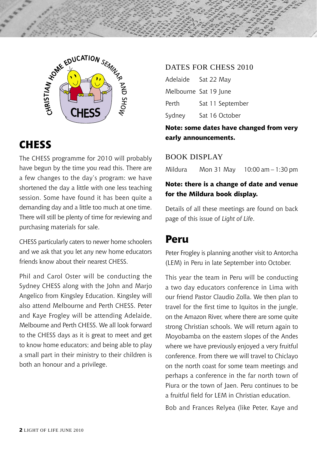

# **CHESS**

The CHESS programme for 2010 will probably have begun by the time you read this. There are a few changes to the day's program: we have shortened the day a little with one less teaching session. Some have found it has been quite a demanding day and a little too much at one time. There will still be plenty of time for reviewing and purchasing materials for sale.

CHESS particularly caters to newer home schoolers and we ask that you let any new home educators friends know about their nearest CHESS.

Phil and Carol Oster will be conducting the Sydney CHESS along with the John and Marjo Angelico from Kingsley Education. Kingsley will also attend Melbourne and Perth CHESS. Peter and Kaye Frogley will be attending Adelaide, Melbourne and Perth CHESS. We all look forward to the CHESS days as it is great to meet and get to know home educators; and being able to play a small part in their ministry to their children is both an honour and a privilege.

#### DATES FOR CHESS 2010

| Adelaide | Sat 22 May            |
|----------|-----------------------|
|          | Melbourne Sat 19 June |
| Perth    | Sat 11 September      |
| Sydney   | Sat 16 October        |

**Note: some dates have changed from very early announcements.**

### Book Display

Mildura Mon 31 May 10:00 am – 1:30 pm

### **Note: there is a change of date and venue for the Mildura book display.**

Details of all these meetings are found on back page of this issue of *Light of Life*.

# **Peru**

Peter Frogley is planning another visit to Antorcha (LEM) in Peru in late September into October.

This year the team in Peru will be conducting a two day educators conference in Lima with our friend Pastor Claudio Zolla. We then plan to travel for the first time to Iquitos in the jungle, on the Amazon River, where there are some quite strong Christian schools. We will return again to Moyobamba on the eastern slopes of the Andes where we have previously enjoyed a very fruitful conference. From there we will travel to Chiclayo on the north coast for some team meetings and perhaps a conference in the far north town of Piura or the town of Jaen. Peru continues to be a fruitful field for LEM in Christian education.

Bob and Frances Relyea (like Peter, Kaye and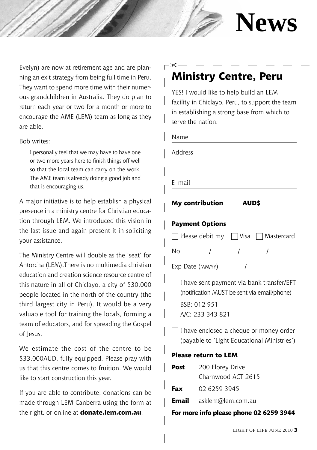

Evelyn) are now at retirement age and are planning an exit strategy from being full time in Peru. They want to spend more time with their numerous grandchildren in Australia. They do plan to return each year or two for a month or more to encourage the AME (LEM) team as long as they are able.

Bob writes:

I personally feel that we may have to have one or two more years here to finish things off well so that the local team can carry on the work. The AME team is already doing a good job and that is encouraging us.

A major initiative is to help establish a physical presence in a ministry centre for Christian education through LEM. We introduced this vision in the last issue and again present it in soliciting your assistance.

The Ministry Centre will double as the 'seat' for Antorcha (LEM).There is no multimedia christian education and creation science resource centre of this nature in all of Chiclayo, a city of 530,000 people located in the north of the country (the third largest city in Peru). It would be a very valuable tool for training the locals, forming a team of educators, and for spreading the Gospel of Jesus.

We estimate the cost of the centre to be \$33,000AUD, fully equipped. Please pray with us that this centre comes to fruition. We would like to start construction this year.

If you are able to contribute, donations can be made through LEM Canberra using the form at the right, or online at **donate.lem.com.au**.

### **Ministry Centre, Peru** ╳

YES! I would like to help build an LEM facility in Chiclayo, Peru, to support the team in establishing a strong base from which to serve the nation.

#### Name

| Address |                                  |             |                                                                                          |
|---------|----------------------------------|-------------|------------------------------------------------------------------------------------------|
| E–mail  |                                  |             |                                                                                          |
|         | My contribution                  | <b>AUDS</b> |                                                                                          |
|         | <b>Payment Options</b>           |             |                                                                                          |
|         |                                  |             | Please debit my Visa Mastercard                                                          |
| No      |                                  |             |                                                                                          |
|         | Exp Date (MM/YY)                 |             |                                                                                          |
|         | BSB: 012 951<br>A/C: 233 343 821 |             | I have sent payment via bank transfer/EFT<br>(notification MUST be sent via email/phone) |
|         |                                  |             | I have enclosed a cheque or money order<br>(payable to 'Light Educational Ministries')   |

#### **Please return to LEM**

| Post  | 200 Florey Drive   |  |
|-------|--------------------|--|
|       | Charnwood ACT 2615 |  |
| Fax   | 02 6259 3945       |  |
| Email | asklem@lem.com.au  |  |
|       |                    |  |

#### **For more info please phone 02 6259 3944**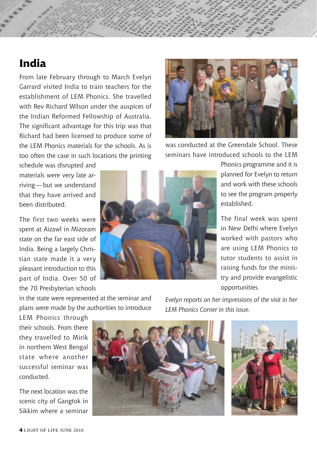# **India**

From late February through to March Evelyn Garrard visited India to train teachers for the establishment of LEM Phonics. She travelled with Rev Richard Wilson under the auspices of the Indian Reformed Fellowship of Australia. The significant advantage for this trip was that Richard had been licensed to produce some of the LEM Phonics materials for the schools. As is too often the case in such locations the printing

schedule was disrupted and materials were very late arriving—but we understand that they have arrived and been distributed.

The first two weeks were spent at Aizawl in Mizoram state on the far east side of India. Being a largely Christian state made it a very pleasant introduction to this part of India. Over 50 of the 70 Presbyterian schools



was conducted at the Greendale School. These seminars have introduced schools to the LEM

> Phonics programme and it is planned for Evelyn to return and work with these schools to see the program properly established.

> The final week was spent in New Delhi where Evelyn worked with pastors who are using LEM Phonics to tutor students to assist in raising funds for the ministry and provide evangelistic opportunities.

in the state were represented at the seminar and plans were made by the authorities to introduce

*Evelyn reports on her impressions of the visit in her LEM Phonics Corner in this issue.* 

LEM Phonics through their schools. From there they travelled to Mirik in northern West Bengal state where another successful seminar was conducted.

The next location was the scenic city of Gangtok in Sikkim where a seminar



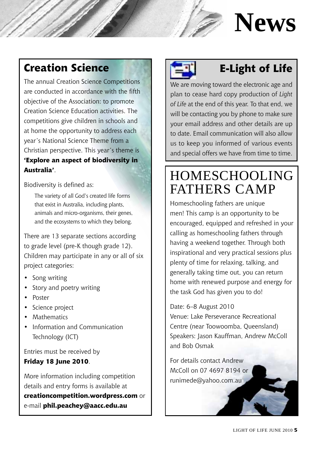# **News**

# **Creation Science**

The annual Creation Science Competitions are conducted in accordance with the fifth objective of the Association: to promote Creation Science Education activities. The competitions give children in schools and at home the opportunity to address each year's National Science Theme from a Christian perspective. This year's theme is **'Explore an aspect of biodiversity in Australia'**.

Biodiversity is defined as:

The variety of all God's created life forms that exist in Australia, including plants, animals and micro-organisms, their genes, and the ecosystems to which they belong.

There are 13 separate sections according to grade level (pre-K though grade 12). Children may participate in any or all of six project categories:

- Song writing
- Story and poetry writing
- Poster
- Science project
- Mathematics
- Information and Communication Technology (ICT)

Entries must be received by

### **Friday 18 June 2010**.

More information including competition details and entry forms is available at **creationcompetition.wordpress.com** or e-mail **phil.peachey@aacc.edu.au**



# **E-Light of Life**

We are moving toward the electronic age and plan to cease hard copy production of *Light of Life* at the end of this year. To that end, we will be contacting you by phone to make sure your email address and other details are up to date. Email communication will also allow us to keep you informed of various events and special offers we have from time to time.

# Homeschooling Fathers Camp

Homeschooling fathers are unique men! This camp is an opportunity to be encouraged, equipped and refreshed in your calling as homeschooling fathers through having a weekend together. Through both inspirational and very practical sessions plus plenty of time for relaxing, talking, and generally taking time out, you can return home with renewed purpose and energy for the task God has given you to do!

Date: 6–8 August 2010

Venue: Lake Perseverance Recreational Centre (near Toowoomba, Queensland) Speakers: Jason Kauffman, Andrew McColl and Bob Osmak

For details contact Andrew McColl on 07 4697 8194 or runimede@yahoo.com.au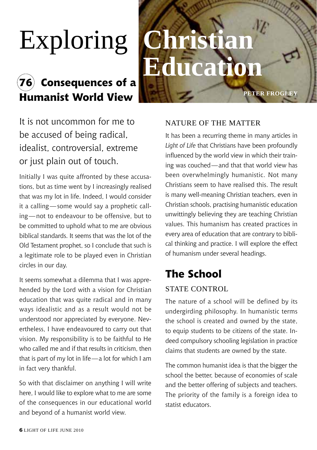# Exploring **Christian**

# **76 Consequences of a Humanist World View**

# **Education**

It is not uncommon for me to be accused of being radical, idealist, controversial, extreme or just plain out of touch.

Initially I was quite affronted by these accusations, but as time went by I increasingly realised that was my lot in life. Indeed, I would consider it a calling—some would say a prophetic calling—not to endeavour to be offensive, but to be committed to uphold what to me are obvious biblical standards. It seems that was the lot of the Old Testament prophet, so I conclude that such is a legitimate role to be played even in Christian circles in our day.

It seems somewhat a dilemma that I was apprehended by the Lord with a vision for Christian education that was quite radical and in many ways idealistic and as a result would not be understood nor appreciated by everyone. Nevertheless, I have endeavoured to carry out that vision. My responsibility is to be faithful to He who called me and if that results in criticism, then that is part of my lot in life—a lot for which I am in fact very thankful.

So with that disclaimer on anything I will write here, I would like to explore what to me are some of the consequences in our educational world and beyond of a humanist world view.

### Nature of the Matter

It has been a recurring theme in many articles in *Light of Life* that Christians have been profoundly influenced by the world view in which their training was couched—and that that world view has been overwhelmingly humanistic. Not many Christians seem to have realised this. The result is many well-meaning Christian teachers, even in Christian schools, practising humanistic education unwittingly believing they are teaching Christian values. This humanism has created practices in every area of education that are contrary to biblical thinking and practice. I will explore the effect of humanism under several headings.

**Peter frogley**

# **The School**

### **STATE CONTROL**

The nature of a school will be defined by its undergirding philosophy. In humanistic terms the school is created and owned by the state, to equip students to be citizens of the state. Indeed compulsory schooling legislation in practice claims that students are owned by the state.

The common humanist idea is that the bigger the school the better, because of economies of scale and the better offering of subjects and teachers. The priority of the family is a foreign idea to statist educators.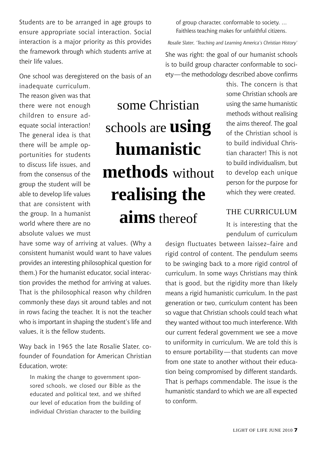Students are to be arranged in age groups to ensure appropriate social interaction. Social interaction is a major priority as this provides the framework through which students arrive at their life values.

One school was deregistered on the basis of an

inadequate curriculum. The reason given was that there were not enough children to ensure adequate social interaction! The general idea is that there will be ample opportunities for students to discuss life issues, and from the consensus of the group the student will be able to develop life values that are consistent with the group. In a humanist world where there are no absolute values we must

some Christian schools are **using humanistic methods** without **realising the aims** thereof

of group character, conformable to society. … Faithless teaching makes for unfaithful citizens.

*Rosalie Slater, 'Teaching and Learning America's Christian History'*

She was right: the goal of our humanist schools is to build group character conformable to society—the methodology described above confirms

> this. The concern is that some Christian schools are using the same humanistic methods without realising the aims thereof. The goal of the Christian school is to build individual Christian character! This is not to build individualism, but to develop each unique person for the purpose for which they were created.

### The Curriculum

It is interesting that the pendulum of curriculum

have some way of arriving at values. (Why a consistent humanist would want to have values provides an interesting philosophical question for them.) For the humanist educator, social interaction provides the method for arriving at values. That is the philosophical reason why children commonly these days sit around tables and not in rows facing the teacher. It is not the teacher who is important in shaping the student's life and values, it is the fellow students.

Way back in 1965 the late Rosalie Slater, cofounder of Foundation for American Christian Education, wrote:

In making the change to government sponsored schools, we closed our Bible as the educated and political text, and we shifted our level of education from the building of individual Christian character to the building design fluctuates between laissez–faire and rigid control of content. The pendulum seems to be swinging back to a more rigid control of curriculum. In some ways Christians may think that is good, but the rigidity more than likely means a rigid humanistic curriculum. In the past generation or two, curriculum content has been so vague that Christian schools could teach what they wanted without too much interference. With our current federal government we see a move to uniformity in curriculum. We are told this is to ensure portability—that students can move from one state to another without their education being compromised by different standards. That is perhaps commendable. The issue is the humanistic standard to which we are all expected to conform.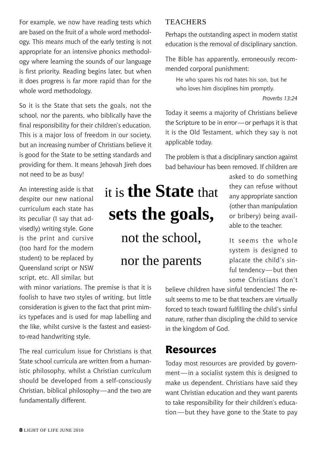For example, we now have reading tests which are based on the fruit of a whole word methodology. This means much of the early testing is not appropriate for an intensive phonics methodology where learning the sounds of our language is first priority. Reading begins later, but when it does progress is far more rapid than for the whole word methodology.

So it is the State that sets the goals, not the school, nor the parents, who biblically have the final responsibility for their children's education. This is a major loss of freedom in our society, but an increasing number of Christians believe it is good for the State to be setting standards and providing for them. It means Jehovah Jireh does not need to be as busy!

An interesting aside is that despite our new national curriculum each state has its peculiar (I say that advisedly) writing style. Gone is the print and cursive (too hard for the modern student) to be replaced by Queensland script or NSW script, etc. All similar, but

with minor variations. The premise is that it is foolish to have two styles of writing, but little consideration is given to the fact that print mimics typefaces and is used for map labelling and the like, whilst cursive is the fastest and easiestto-read handwriting style.

The real curriculum issue for Christians is that State school curricula are written from a humanistic philosophy, whilst a Christian curriculum should be developed from a self-consciously Christian, biblical philosophy—and the two are fundamentally different.

# it is **the State** that **sets the goals,** not the school,

nor the parents

### **TEACHERS**

Perhaps the outstanding aspect in modern statist education is the removal of disciplinary sanction.

The Bible has apparently, erroneously recommended corporal punishment:

He who spares his rod hates his son, but he who loves him disciplines him promptly.

*Proverbs 13:24*

Today it seems a majority of Christians believe the Scripture to be in error—or perhaps it is that it is the Old Testament, which they say is not applicable today.

The problem is that a disciplinary sanction against bad behaviour has been removed. If children are

> asked to do something they can refuse without any appropriate sanction (other than manipulation or bribery) being available to the teacher

It seems the whole system is designed to placate the child's sinful tendency—but then some Christians don't

believe children have sinful tendencies! The result seems to me to be that teachers are virtually forced to teach toward fulfilling the child's sinful nature, rather than discipling the child to service in the kingdom of God.

# **Resources**

Today most resources are provided by government—in a socialist system this is designed to make us dependent. Christians have said they want Christian education and they want parents to take responsibility for their children's education—but they have gone to the State to pay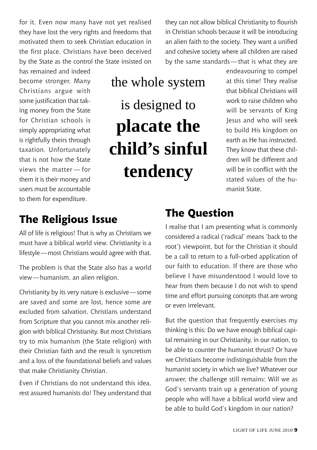for it. Even now many have not yet realised they have lost the very rights and freedoms that motivated them to seek Christian education in the first place. Christians have been deceived by the State as the control the State insisted on

has remained and indeed become stronger. Many Christians argue with some justification that taking money from the State for Christian schools is simply appropriating what is rightfully theirs through taxation. Unfortunately that is not how the State views the matter — for them it is their money and users must be accountable to them for expenditure.

# the whole system is designed to **placate the child's sinful tendency**

they can not allow biblical Christianity to flourish in Christian schools because it will be introducing an alien faith to the society. They want a unified and cohesive society where all children are raised by the same standards—that is what they are

> endeavouring to compel at this time! They realise that biblical Christians will work to raise children who will be servants of King Jesus and who will seek to build His kingdom on earth as He has instructed. They know that these children will be different and will be in conflict with the stated values of the humanist State.

# **The Religious Issue**

All of life is religious! That is why as Christians we must have a biblical world view. Christianity is a lifestyle—most Christians would agree with that.

The problem is that the State also has a world view—humanism, an alien religion.

Christianity by its very nature is exclusive—some are saved and some are lost, hence some are excluded from salvation. Christians understand from Scripture that you cannot mix another religion with biblical Christianity. But most Christians try to mix humanism (the State religion) with their Christian faith and the result is syncretism and a loss of the foundational beliefs and values that make Christianity Christian.

Even if Christians do not understand this idea, rest assured humanists do! They understand that

# **The Question**

I realise that I am presenting what is commonly considered a radical ('radical' means 'back to the root') viewpoint, but for the Christian it should be a call to return to a full-orbed application of our faith to education. If there are those who believe I have misunderstood I would love to hear from them because I do not wish to spend time and effort pursuing concepts that are wrong or even irrelevant.

But the question that frequently exercises my thinking is this: Do we have enough biblical capital remaining in our Christianity, in our nation, to be able to counter the humanist thrust? Or have we Christians become indistinguishable from the humanist society in which we live? Whatever our answer, the challenge still remains: Will we as God's servants train up a generation of young people who will have a biblical world view and be able to build God's kingdom in our nation?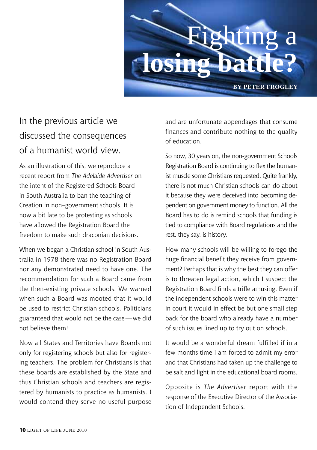

# In the previous article we discussed the consequences of a humanist world view.

As an illustration of this, we reproduce a recent report from *The Adelaide Advertiser* on the intent of the Registered Schools Board in South Australia to ban the teaching of Creation in non–government schools. It is now a bit late to be protesting as schools have allowed the Registration Board the freedom to make such draconian decisions.

When we began a Christian school in South Australia in 1978 there was no Registration Board nor any demonstrated need to have one. The recommendation for such a Board came from the then-existing private schools. We warned when such a Board was mooted that it would be used to restrict Christian schools. Politicians guaranteed that would not be the case—we did not believe them!

Now all States and Territories have Boards not only for registering schools but also for registering teachers. The problem for Christians is that these boards are established by the State and thus Christian schools and teachers are registered by humanists to practice as humanists. I would contend they serve no useful purpose and are unfortunate appendages that consume finances and contribute nothing to the quality of education.

So now, 30 years on, the non-government Schools Registration Board is continuing to flex the humanist muscle some Christians requested. Quite frankly, there is not much Christian schools can do about it because they were deceived into becoming dependent on government money to function. All the Board has to do is remind schools that funding is tied to compliance with Board regulations and the rest, they say, is history.

How many schools will be willing to forego the huge financial benefit they receive from government? Perhaps that is why the best they can offer is to threaten legal action, which I suspect the Registration Board finds a trifle amusing. Even if the independent schools were to win this matter in court it would in effect be but one small step back for the board who already have a number of such issues lined up to try out on schools.

It would be a wonderful dream fulfilled if in a few months time I am forced to admit my error and that Christians had taken up the challenge to be salt and light in the educational board rooms.

Opposite is *The Advertiser* report with the response of the Executive Director of the Association of Independent Schools.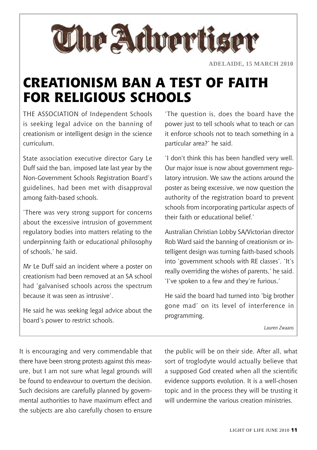

# **Creationism ban a test of faith for religious schools**

THE Association of Independent Schools is seeking legal advice on the banning of creationism or intelligent design in the science curriculum.

State association executive director Gary Le Duff said the ban, imposed late last year by the Non-Government Schools Registration Board's guidelines, had been met with disapproval among faith-based schools.

'There was very strong support for concerns about the excessive intrusion of government regulatory bodies into matters relating to the underpinning faith or educational philosophy of schools,' he said.

Mr Le Duff said an incident where a poster on creationism had been removed at an SA school had 'galvanised schools across the spectrum because it was seen as intrusive'.

He said he was seeking legal advice about the board's power to restrict schools.

'The question is, does the board have the power just to tell schools what to teach or can it enforce schools not to teach something in a particular area?' he said.

'I don't think this has been handled very well. Our major issue is now about government regulatory intrusion. We saw the actions around the poster as being excessive, we now question the authority of the registration board to prevent schools from incorporating particular aspects of their faith or educational belief.'

Australian Christian Lobby SA/Victorian director Rob Ward said the banning of creationism or intelligent design was turning faith-based schools into 'government schools with RE classes'. 'It's really overriding the wishes of parents,' he said. 'I've spoken to a few and they're furious.'

He said the board had turned into 'big brother gone mad' on its level of interference in programming.

*Lauren Zwaans*

It is encouraging and very commendable that there have been strong protests against this measure, but I am not sure what legal grounds will be found to endeavour to overturn the decision. Such decisions are carefully planned by governmental authorities to have maximum effect and the subjects are also carefully chosen to ensure

the public will be on their side. After all, what sort of troglodyte would actually believe that a supposed God created when all the scientific evidence supports evolution. It is a well-chosen topic and in the process they will be trusting it will undermine the various creation ministries.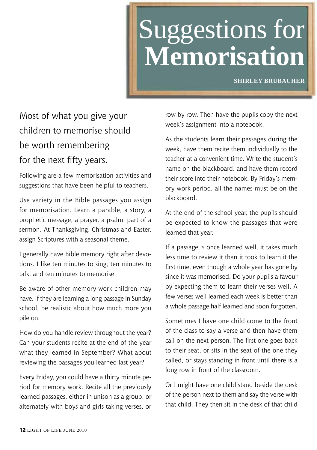# Suggestions for **Memorisation**

**Shirley Brubacher**

# Most of what you give your children to memorise should be worth remembering for the next fifty years.

Following are a few memorisation activities and suggestions that have been helpful to teachers.

Use variety in the Bible passages you assign for memorisation. Learn a parable, a story, a prophetic message, a prayer, a psalm, part of a sermon. At Thanksgiving, Christmas and Easter, assign Scriptures with a seasonal theme.

I generally have Bible memory right after devotions. I like ten minutes to sing, ten minutes to talk, and ten minutes to memorise.

Be aware of other memory work children may have. If they are learning a long passage in Sunday school, be realistic about how much more you pile on.

How do you handle review throughout the year? Can your students recite at the end of the year what they learned in September? What about reviewing the passages you learned last year?

Every Friday, you could have a thirty minute period for memory work. Recite all the previously learned passages, either in unison as a group, or alternately with boys and girls taking verses, or

row by row. Then have the pupils copy the next week's assignment into a notebook.

As the students learn their passages during the week, have them recite them individually to the teacher at a convenient time. Write the student's name on the blackboard, and have them record their score into their notebook. By Friday's memory work period, all the names must be on the blackboard.

At the end of the school year, the pupils should be expected to know the passages that were learned that year.

If a passage is once learned well, it takes much less time to review it than it took to learn it the first time, even though a whole year has gone by since it was memorised. Do your pupils a favour by expecting them to learn their verses well. A few verses well learned each week is better than a whole passage half learned and soon forgotten.

Sometimes I have one child come to the front of the class to say a verse and then have them call on the next person. The first one goes back to their seat, or sits in the seat of the one they called, or stays standing in front until there is a long row in front of the classroom.

Or I might have one child stand beside the desk of the person next to them and say the verse with that child. They then sit in the desk of that child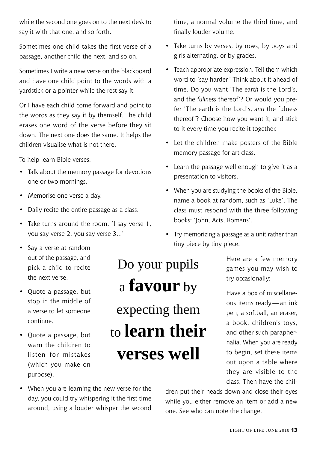while the second one goes on to the next desk to say it with that one, and so forth.

Sometimes one child takes the first verse of a passage, another child the next, and so on.

Sometimes I write a new verse on the blackboard and have one child point to the words with a yardstick or a pointer while the rest say it.

Or I have each child come forward and point to the words as they say it by themself. The child erases one word of the verse before they sit down. The next one does the same. It helps the children visualise what is not there.

To help learn Bible verses:

- Talk about the memory passage for devotions one or two mornings.
- Memorise one verse a day.
- Daily recite the entire passage as a class.
- Take turns around the room. 'I say verse 1, you say verse 2, you say verse 3...'
- Say a verse at random out of the passage, and pick a child to recite the next verse.
- Quote a passage, but stop in the middle of a verse to let someone continue.
- Quote a passage, but warn the children to listen for mistakes (which you make on purpose).

# Do your pupils a **favour** by expecting them to **learn their verses well**

time, a normal volume the third time, and finally louder volume.

- Take turns by verses, by rows, by boys and girls alternating, or by grades.
- Teach appropriate expression. Tell them which word to 'say harder.' Think about it ahead of time. Do you want 'The *earth* is the Lord's, and the *fullness* thereof'? Or would you prefer 'The earth is the Lord's, *and* the fulness thereof'? Choose how you want it, and stick to it every time you recite it together.
- Let the children make posters of the Bible memory passage for art class.
- Learn the passage well enough to give it as a presentation to visitors.
- When you are studying the books of the Bible, name a book at random, such as 'Luke'. The class must respond with the three following books: 'John, Acts, Romans'.
- Try memorizing a passage as a unit rather than tiny piece by tiny piece.

Here are a few memory games you may wish to try occasionally:

Have a box of miscellaneous items ready—an ink pen, a softball, an eraser, a book, children's toys, and other such paraphernalia. When you are ready to begin, set these items out upon a table where they are visible to the class. Then have the chil-

• When you are learning the new verse for the day, you could try whispering it the first time around, using a louder whisper the second

dren put their heads down and close their eyes while you either remove an item or add a new one. See who can note the change.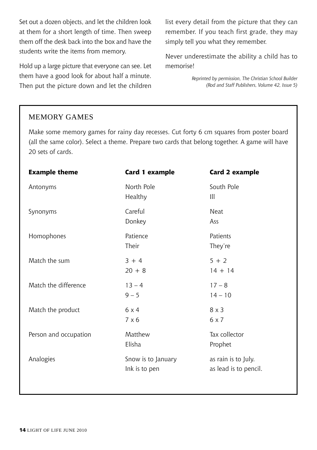Set out a dozen objects, and let the children look at them for a short length of time. Then sweep them off the desk back into the box and have the students write the items from memory.

Hold up a large picture that everyone can see. Let them have a good look for about half a minute. Then put the picture down and let the children

list every detail from the picture that they can remember. If you teach first grade, they may simply tell you what they remember.

Never underestimate the ability a child has to memorise!

> *Reprinted by permission, The Christian School Builder (Rod and Staff Publishers, Volume 42, Issue 5)*

#### Memory Games

Make some memory games for rainy day recesses. Cut forty 6 cm squares from poster board (all the same color). Select a theme. Prepare two cards that belong together. A game will have 20 sets of cards.

| <b>Example theme</b>  | Card 1 example                      | Card 2 example                               |
|-----------------------|-------------------------------------|----------------------------------------------|
| Antonyms              | North Pole<br>Healthy               | South Pole<br>Ш                              |
| Synonyms              | Careful<br>Donkey                   | Neat<br>Ass                                  |
| Homophones            | Patience<br>Their                   | Patients<br>They're                          |
| Match the sum         | $3 + 4$<br>$20 + 8$                 | $5 + 2$<br>$14 + 14$                         |
| Match the difference  | $13 - 4$<br>$9 - 5$                 | $17 - 8$<br>$14 - 10$                        |
| Match the product     | 6x4<br>$7 \times 6$                 | $8 \times 3$<br>6x7                          |
| Person and occupation | Matthew<br>Elisha                   | Tax collector<br>Prophet                     |
| Analogies             | Snow is to January<br>Ink is to pen | as rain is to July.<br>as lead is to pencil. |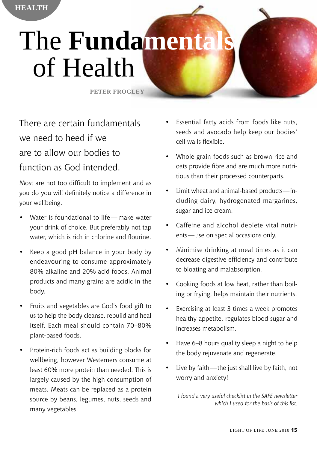# **The Fundamenta** of Health

**Peter Frogley**

There are certain fundamentals we need to heed if we are to allow our bodies to function as God intended.

**HEALTH** 

Most are not too difficult to implement and as you do you will definitely notice a difference in your wellbeing.

- Water is foundational to life—make water your drink of choice. But preferably not tap water, which is rich in chlorine and flourine.
- Keep a good pH balance in your body by endeavouring to consume approximately 80% alkaline and 20% acid foods. Animal products and many grains are acidic in the body.
- Fruits and vegetables are God's food gift to us to help the body cleanse, rebuild and heal itself. Each meal should contain 70–80% plant-based foods.
- Protein-rich foods act as building blocks for wellbeing, however Westerners consume at least 60% more protein than needed. This is largely caused by the high consumption of meats. Meats can be replaced as a protein source by beans, legumes, nuts, seeds and many vegetables.
- Essential fatty acids from foods like nuts, seeds and avocado help keep our bodies' cell walls flexible.
- Whole grain foods such as brown rice and oats provide fibre and are much more nutritious than their processed counterparts.
- Limit wheat and animal-based products—including dairy, hydrogenated margarines, sugar and ice cream.
- Caffeine and alcohol deplete vital nutrients—use on special occasions only.
- Minimise drinking at meal times as it can decrease digestive efficiency and contribute to bloating and malabsorption.
- Cooking foods at low heat, rather than boiling or frying, helps maintain their nutrients.
- Exercising at least 3 times a week promotes healthy appetite, regulates blood sugar and increases metabolism.
- Have 6–8 hours quality sleep a night to help the body rejuvenate and regenerate.
- Live by faith—the just shall live by faith, not worry and anxiety!

*I found a very useful checklist in the SAFE newsletter which I used for the basis of this list.*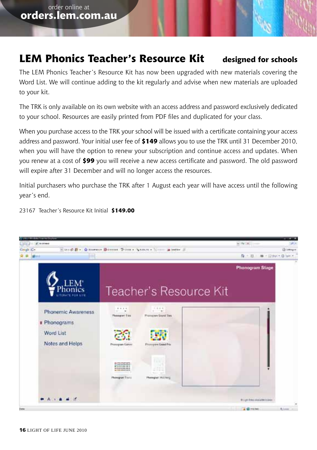# **LEM Phonics Teacher's Resource Kit designed for schools**

The LEM Phonics Teacher's Resource Kit has now been upgraded with new materials covering the Word List. We will continue adding to the kit regularly and advise when new materials are uploaded to your kit.

The TRK is only available on its own website with an access address and password exclusively dedicated to your school. Resources are easily printed from PDF files and duplicated for your class.

When you purchase access to the TRK your school will be issued with a certificate containing your access address and password. Your initial user fee of **\$149** allows you to use the TRK until 31 December 2010, when you will have the option to renew your subscription and continue access and updates. When you renew at a cost of **\$99** you will receive a new access certificate and password. The old password will expire after 31 December and will no longer access the resources.

Initial purchasers who purchase the TRK after 1 August each year will have access until the following year's end.

23167 Teacher's Resource Kit Initial **\$149.00**

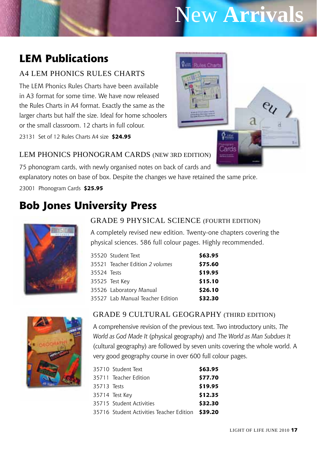# New **Arrivals**

 $\sigma$  in Cards

**Quin** Rules Chart

# **LEM Publications**

### A4 LEM Phonics Rules Charts

The LEM Phonics Rules Charts have been available in A3 format for some time. We have now released the Rules Charts in A4 format. Exactly the same as the larger charts but half the size. Ideal for home schoolers or the small classroom. 12 charts in full colour.

23131 Set of 12 Rules Charts A4 size **\$24.95**



75 phonogram cards, with newly organised notes on back of cards and explanatory notes on base of box. Despite the changes we have retained the same price.

23001 Phonogram Cards **\$25.95**

# **Bob Jones University Press**



### Grade 9 Physical Science (Fourth Edition)

A completely revised new edition. Twenty-one chapters covering the physical sciences. 586 full colour pages. Highly recommended.

|             | 35520 Student Text               | \$63.95 |
|-------------|----------------------------------|---------|
|             | 35521 Teacher Edition 2 volumes  | \$75.60 |
| 35524 Tests |                                  | \$19.95 |
|             | 35525 Test Key                   | \$15.10 |
|             | 35526 Laboratory Manual          | \$26.10 |
|             | 35527 Lab Manual Teacher Edition | \$32.30 |



#### Grade 9 Cultural Geography (Third Edition)

A comprehensive revision of the previous text. Two introductory units, *The World as God Made It* (physical geography) and *The World as Man Subdues It* (cultural geography) are followed by seven units covering the whole world. A very good geography course in over 600 full colour pages.

|             | 35710 Student Text                               | \$63.95 |
|-------------|--------------------------------------------------|---------|
|             | 35711 Teacher Edition                            | \$77.70 |
| 35713 Tests |                                                  | \$19.95 |
|             | 35714 Test Key                                   | \$12.35 |
|             | 35715 Student Activities                         | \$32.30 |
|             | 35716 Student Activities Teacher Edition \$39.20 |         |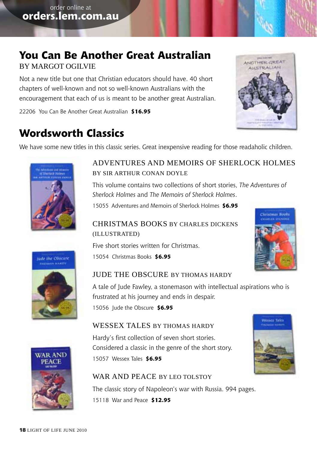## **You Can Be Another Great Australian**  by Margot Ogilvie

Not a new title but one that Christian educators should have. 40 short chapters of well-known and not so well-known Australians with the encouragement that each of us is meant to be another great Australian.

22206 You Can Be Another Great Australian **\$16.95**



# **Wordsworth Classics**

We have some new titles in this classic series. Great inexpensive reading for those readaholic children.



### Adventures and Memoirs of Sherlock Holmes by Sir Arthur Conan Doyle

This volume contains two collections of short stories, *The Adventures of Sherlock Holmes* and *The Memoirs of Sherlock Holmes*.

15055 Adventures and Memoirs of Sherlock Holmes **\$6.95**

### Christmas Books by Charles Dickens (illustrated)

Five short stories written for Christmas.

15054 Christmas Books **\$6.95**





### Jude the Obscure by Thomas Hardy

A tale of Jude Fawley, a stonemason with intellectual aspirations who is frustrated at his journey and ends in despair.

15056 Jude the Obscure **\$6.95**

#### WESSEX TALES BY THOMAS HARDY

Hardy's first collection of seven short stories. Considered a classic in the genre of the short story. 15057 Wessex Tales **\$6.95**

# Wexare Tales



#### WAR AND PEACE BY LEO TOLSTOY

The classic story of Napoleon's war with Russia. 994 pages.

15118 War and Peace **\$12.95**



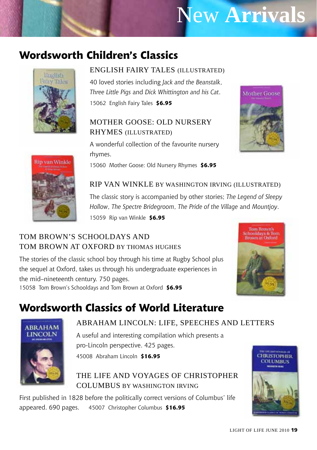# New **Arrivals**

# **Wordsworth Children's Classics**



### English Fairy Tales (illustrated)

40 loved stories including *Jack and the Beanstalk*, *Three Little Pigs* and *Dick Whittington and his Cat*. 15062 English Fairy Tales **\$6.95**

### Mother Goose: Old Nursery Rhymes (illustrated)

A wonderful collection of the favourite nursery rhymes.

15060 Mother Goose: Old Nursery Rhymes **\$6.95**





# Rip Van Winkle by Washington Irving (illustrated)

The classic story is accompanied by other stories; *The Legend of Sleepy Hollow*, *The Spectre Bridegroom*, *The Pride of the Village* and *Mountjoy*.

15059 Rip van Winkle **\$6.95**

### Tom Brown's Schooldays and TOM BROWN AT OXFORD BY THOMAS HUGHES

The stories of the classic school boy through his time at Rugby School plus the sequel at Oxford, takes us through his undergraduate experiences in the mid–nineteenth century. 750 pages. 15058 Tom Brown's Schooldays and Tom Brown at Oxford **\$6.95**



# **Wordsworth Classics of World Literature**



### Abraham Lincoln: Life, Speeches and letters

A useful and interesting compilation which presents a pro-Lincoln perspective. 425 pages. 45008 Abraham Lincoln **\$16.95**

The Life and Voyages of Christopher COLUMBUS BY WASHINGTON IRVING

First published in 1828 before the politically correct versions of Columbus' life appeared. 690 pages. 45007 Christopher Columbus **\$16.95**

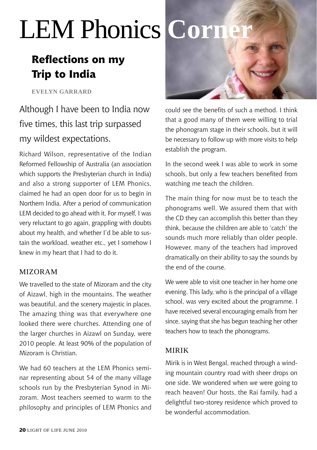# LEM Phonics **Corn**

# **Reflections on my Trip to India**

**Evelyn garrard**

Although I have been to India now five times, this last trip surpassed my wildest expectations.

Richard Wilson, representative of the Indian Reformed Fellowship of Australia (an association which supports the Presbyterian church in India) and also a strong supporter of LEM Phonics, claimed he had an open door for us to begin in Northern India. After a period of communication LEM decided to go ahead with it. For myself, I was very reluctant to go again, grappling with doubts about my health, and whether I'd be able to sustain the workload, weather etc., yet I somehow I knew in my heart that I had to do it.

### Mizoram

We travelled to the state of Mizoram and the city of Aizawl, high in the mountains. The weather was beautiful, and the scenery majestic in places. The amazing thing was that everywhere one looked there were churches. Attending one of the larger churches in Aizawl on Sunday, were 2010 people. At least 90% of the population of Mizoram is Christian.

We had 60 teachers at the LEM Phonics seminar representing about 54 of the many village schools run by the Presbyterian Synod in Mizoram. Most teachers seemed to warm to the philosophy and principles of LEM Phonics and



could see the benefits of such a method. I think that a good many of them were willing to trial the phonogram stage in their schools, but it will be necessary to follow up with more visits to help establish the program.

In the second week I was able to work in some schools, but only a few teachers benefited from watching me teach the children.

The main thing for now must be to teach the phonograms well. We assured them that with the CD they can accomplish this better than they think, because the children are able to 'catch' the sounds much more reliably than older people. However, many of the teachers had improved dramatically on their ability to say the sounds by the end of the course.

We were able to visit one teacher in her home one evening. This lady, who is the principal of a village school, was very excited about the programme. I have received several encouraging emails from her since, saying that she has begun teaching her other teachers how to teach the phonograms.

### Mirik

Mirik is in West Bengal, reached through a winding mountain country road with sheer drops on one side. We wondered when we were going to reach heaven! Our hosts, the Rai family, had a delightful two-storey residence which proved to be wonderful accommodation.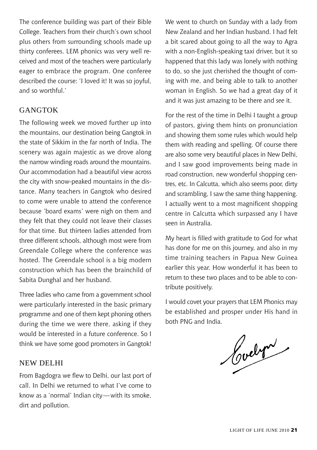The conference building was part of their Bible College. Teachers from their church's own school plus others from surrounding schools made up thirty conferees. LEM phonics was very well received and most of the teachers were particularly eager to embrace the program. One conferee described the course: 'I loved it! It was so joyful, and so worthful.'

### GANGTOK

The following week we moved further up into the mountains, our destination being Gangtok in the state of Sikkim in the far north of India. The scenery was again majestic as we drove along the narrow winding roads around the mountains. Our accommodation had a beautiful view across the city with snow-peaked mountains in the distance. Many teachers in Gangtok who desired to come were unable to attend the conference because 'board exams' were nigh on them and they felt that they could not leave their classes for that time. But thirteen ladies attended from three different schools, although most were from Greendale College where the conference was hosted. The Greendale school is a big modern construction which has been the brainchild of Sabita Dunghal and her husband.

Three ladies who came from a government school were particularly interested in the basic primary programme and one of them kept phoning others during the time we were there, asking if they would be interested in a future conference. So I think we have some good promoters in Gangtok!

#### NEW DELHI

From Bagdogra we flew to Delhi, our last port of call. In Delhi we returned to what I've come to know as a 'normal' Indian city—with its smoke, dirt and pollution.

We went to church on Sunday with a lady from New Zealand and her Indian husband. I had felt a bit scared about going to all the way to Agra with a non-English-speaking taxi driver, but it so happened that this lady was lonely with nothing to do, so she just cherished the thought of coming with me, and being able to talk to another woman in English. So we had a great day of it and it was just amazing to be there and *see* it.

For the rest of the time in Delhi I taught a group of pastors, giving them hints on pronunciation and showing them some rules which would help them with reading and spelling. Of course there are also some very beautiful places in New Delhi, and I saw good improvements being made in road construction, new wonderful shopping centres, etc. In Calcutta, which also seems poor, dirty and scrambling, I saw the same thing happening. I actually went to a most magnificent shopping centre in Calcutta which surpassed any I have seen in Australia.

My heart is filled with gratitude to God for what has done for me on this journey, and also in my time training teachers in Papua New Guinea earlier this year. How wonderful it has been to return to these two places and to be able to contribute positively.

I would covet your prayers that LEM Phonics may be established and prosper under His hand in

both PNG and India.